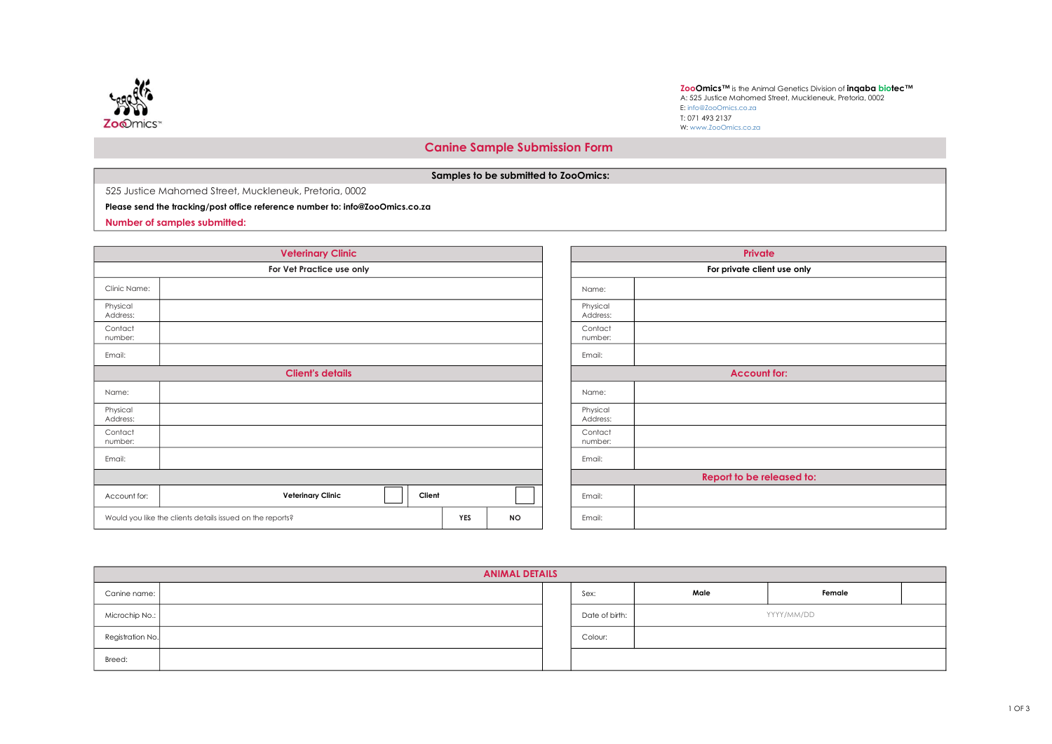

ZooOmics™ is the Animal Genetics Division of inqaba biotec™ A: 525 Justice Mahomed Street, Muckleneuk, Pretoria, 0002 E: info@ZooOmics.co.za T: 071 493 2137 W: www.ZooOmics.co.za

## Canine Sample Submission Form

## Samples to be submitted to ZooOmics:

525 Justice Mahomed Street, Muckleneuk, Pretoria, 0002

## Please send the tracking/post office reference number to: info@ZooOmics.co.za

Number of samples submitted:

|                      | <b>Veterinary Clinic</b>                                  |            |           |                   |  |
|----------------------|-----------------------------------------------------------|------------|-----------|-------------------|--|
|                      | For Vet Practice use only                                 |            |           |                   |  |
| Clinic Name:         |                                                           |            |           | Name:             |  |
| Physical<br>Address: |                                                           |            |           | Physicc<br>Addres |  |
| Contact<br>number:   |                                                           |            |           | Contad<br>numbe   |  |
| Email:               |                                                           |            |           | Email:            |  |
|                      | <b>Client's details</b>                                   |            |           |                   |  |
| Name:                |                                                           |            |           | Name:             |  |
| Physical<br>Address: |                                                           |            |           | Physicc<br>Addres |  |
| Contact<br>number:   |                                                           |            |           | Contad<br>numbe   |  |
| Email:               |                                                           |            |           | Email:            |  |
|                      |                                                           |            |           |                   |  |
| Account for:         | <b>Veterinary Clinic</b><br>Client                        |            |           | Email:            |  |
|                      | Would you like the clients details issued on the reports? | <b>YES</b> | <b>NO</b> | Email:            |  |

|                      | <b>Private</b>              |  |  |  |  |  |  |
|----------------------|-----------------------------|--|--|--|--|--|--|
|                      | For private client use only |  |  |  |  |  |  |
| Name:                |                             |  |  |  |  |  |  |
| Physical<br>Address: |                             |  |  |  |  |  |  |
| Contact<br>number:   |                             |  |  |  |  |  |  |
| Email:               |                             |  |  |  |  |  |  |
|                      | <b>Account for:</b>         |  |  |  |  |  |  |
| Name:                |                             |  |  |  |  |  |  |
| Physical<br>Address: |                             |  |  |  |  |  |  |
| Contact<br>number:   |                             |  |  |  |  |  |  |
| Email:               |                             |  |  |  |  |  |  |
|                      | Report to be released to:   |  |  |  |  |  |  |
| Email:               |                             |  |  |  |  |  |  |
| Email:               |                             |  |  |  |  |  |  |

| <b>ANIMAL DETAILS</b> |  |  |                |      |            |  |  |  |  |
|-----------------------|--|--|----------------|------|------------|--|--|--|--|
| Canine name:          |  |  | Sex:           | Male | Female     |  |  |  |  |
| Microchip No.:        |  |  | Date of birth: |      | YYYY/MM/DD |  |  |  |  |
| Registration No.      |  |  | Colour:        |      |            |  |  |  |  |
| Breed:                |  |  |                |      |            |  |  |  |  |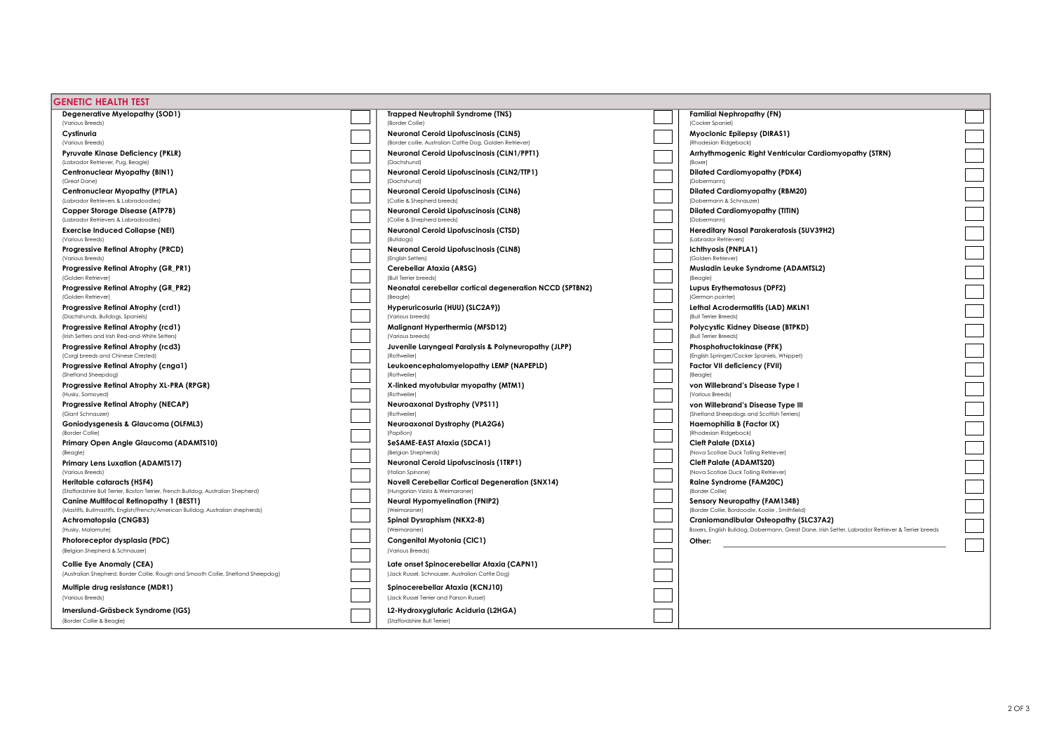| <b>GENETIC HEALTH TEST</b>                                                                                                        |                                                                                    |                                                                                                                                            |  |
|-----------------------------------------------------------------------------------------------------------------------------------|------------------------------------------------------------------------------------|--------------------------------------------------------------------------------------------------------------------------------------------|--|
| Degenerative Myelopathy (SOD1)                                                                                                    | <b>Trapped Neutrophil Syndrome (TNS)</b>                                           | <b>Familial Nephropathy (FN)</b>                                                                                                           |  |
| (Various Breeds)                                                                                                                  | (Border Collie)                                                                    | (Cocker Spaniel)                                                                                                                           |  |
| Cvstinuria                                                                                                                        | <b>Neuronal Ceroid Lipofuscinosis (CLN5)</b>                                       | Myoclonic Epilepsy (DIRAS1)                                                                                                                |  |
| (Various Breeds)                                                                                                                  | (Border collie, Australian Cattle Dog, Golden Retriever)                           | (Rhodesian Ridgeback)                                                                                                                      |  |
| <b>Pyruvate Kinase Deficiency (PKLR)</b>                                                                                          | <b>Neuronal Ceroid Lipofuscinosis (CLN1/PPT1)</b>                                  | Arrhythmogenic Right Ventricular Cardiomyopathy (STRN)                                                                                     |  |
| (Labrador Retriever, Pug, Beagle)                                                                                                 | (Dachshund)                                                                        | (Boxer)                                                                                                                                    |  |
| Centronuclear Myopathy (BIN1)                                                                                                     | Neuronal Ceroid Lipofuscinosis (CLN2/TTP1)                                         | <b>Dilated Cardiomyopathy (PDK4)</b>                                                                                                       |  |
| (Great Dane)                                                                                                                      | (Dachshund)                                                                        | (Dobermann)                                                                                                                                |  |
| Centronuclear Myopathy (PTPLA)                                                                                                    | <b>Neuronal Ceroid Lipofuscinosis (CLN6)</b>                                       | <b>Dilated Cardiomyopathy (RBM20)</b>                                                                                                      |  |
| (Labrador Retrievers & Labradoodles)                                                                                              | (Collie & Shepherd breeds)                                                         | (Dobermann & Schnauzer)                                                                                                                    |  |
| Copper Storage Disease (ATP7B)                                                                                                    | <b>Neuronal Ceroid Lipofuscinosis (CLN8)</b>                                       | <b>Dilated Cardiomyopathy (TITIN)</b>                                                                                                      |  |
| (Labrador Retrievers & Labradoodles)                                                                                              | (Collie & Shepherd breeds)                                                         | (Dobermann)                                                                                                                                |  |
| <b>Exercise Induced Collapse (NEI)</b>                                                                                            | Neuronal Ceroid Lipofuscinosis (CTSD)                                              | Hereditary Nasal Parakeratosis (SUV39H2)                                                                                                   |  |
| (Various Breeds)                                                                                                                  | (Bulldogs)                                                                         | (Labrador Retrievers)                                                                                                                      |  |
| Progressive Retinal Atrophy (PRCD)                                                                                                | Neuronal Ceroid Lipofuscinosis (CLN8)                                              | <b>Ichthyosis (PNPLA1)</b>                                                                                                                 |  |
| (Various Breeds)                                                                                                                  | (English Setters)                                                                  | (Golden Retriever)                                                                                                                         |  |
| Progressive Retinal Atrophy (GR_PR1)                                                                                              | Cerebellar Ataxia (ARSG)                                                           | Musladin Leuke Syndrome (ADAMTSL2)                                                                                                         |  |
| (Golden Retriever)                                                                                                                | (Bull Terrier breeds)                                                              | (Beagle)                                                                                                                                   |  |
| Progressive Retinal Atrophy (GR_PR2)                                                                                              | Neonatal cerebellar cortical degeneration NCCD (SPTBN2)                            | Lupus Erythematosus (DPF2)                                                                                                                 |  |
| (Golden Retriever)                                                                                                                | (Beagle)                                                                           | (German pointer)                                                                                                                           |  |
| Progressive Retinal Atrophy (crd1)                                                                                                | Hyperuricosuria (HUU) (SLC2A9))                                                    | Lethal Acrodermatitis (LAD) MKLN1                                                                                                          |  |
| (Dachshunds, Bulldogs, Spaniels)                                                                                                  | (Various breeds)                                                                   | (Bull Terrier Breeds)                                                                                                                      |  |
| Progressive Retinal Atrophy (rcd1)                                                                                                | Malignant Hyperthermia (MFSD12)                                                    | Polycystic Kidney Disease (BTPKD)                                                                                                          |  |
| (Irish Setters and Irish Red-and-White Setters)                                                                                   | (Various breeds)                                                                   | (Bull Terrier Breeds)                                                                                                                      |  |
| Progressive Retinal Atrophy (rcd3)                                                                                                | Juvenile Laryngeal Paralysis & Polyneuropathy (JLPP)                               | Phosphofructokinase (PFK)                                                                                                                  |  |
| (Corgi breeds and Chinese Crested)                                                                                                | (Rottweiler)                                                                       | (English Springer/Cocker Spaniels, Whippet)                                                                                                |  |
| Progressive Retinal Atrophy (cnga1)                                                                                               | Leukoencephalomyelopathy LEMP (NAPEPLD)                                            | Factor VII deficiency (FVII)                                                                                                               |  |
| (Shetland Sheepdog)                                                                                                               | (Rottweiler)                                                                       | (Beagle)                                                                                                                                   |  |
| Progressive Retinal Atrophy XL-PRA (RPGR)                                                                                         | X-linked myotubular myopathy (MTM1)                                                | von Willebrand's Disease Type I                                                                                                            |  |
| (Husky, Samoyed)                                                                                                                  | (Rottweiler)                                                                       | (Various Breeds)                                                                                                                           |  |
| Progressive Retinal Atrophy (NECAP)                                                                                               | Neuroaxonal Dystrophy (VPS11)                                                      | von Willebrand's Disease Type III                                                                                                          |  |
| (Giant Schnauzer)                                                                                                                 | (Rottweiler)                                                                       | (Shetland Sheepdogs and Scottish Terriers)                                                                                                 |  |
| Goniodysgenesis & Glaucoma (OLFML3)                                                                                               | Neuroaxonal Dystrophy (PLA2G6)                                                     | Haemophilia B (Factor IX)                                                                                                                  |  |
| (Border Collie)                                                                                                                   | (Papillon)                                                                         | (Rhodesian Ridgeback)                                                                                                                      |  |
| Primary Open Angle Glaucoma (ADAMTS10)                                                                                            | SeSAME-EAST Ataxia (SDCA1)                                                         | Cleft Palate (DXL6)                                                                                                                        |  |
| (Beagle)                                                                                                                          | (Belgian Shepherds)                                                                | (Nova Scotiae Duck Tolling Retriever)                                                                                                      |  |
| Primary Lens Luxation (ADAMTS17)                                                                                                  | Neuronal Ceroid Lipofuscinosis (1TRP1)                                             | <b>Cleft Palate (ADAMTS20)</b>                                                                                                             |  |
| (Various Breeds)                                                                                                                  | (Italian Spinone)                                                                  | (Nova Scotiae Duck Tolling Retriever)                                                                                                      |  |
| <b>Heritable cataracts (HSF4)</b><br>(Staffordshire Bull Terrier, Boston Terrier, French Bulldog, Australian Shepherd)            | Novell Cerebellar Cortical Degeneration (SNX14)<br>(Hungarian Vizsla & Weimaraner) | Raine Syndrome (FAM20C)<br>(Border Collie)                                                                                                 |  |
|                                                                                                                                   |                                                                                    |                                                                                                                                            |  |
| <b>Canine Multifocal Retinopathy 1 (BEST1)</b><br>(Mastiffs, Bullmastiffs, English/French/American Bulldog, Australian shepherds) | <b>Neural Hypomyelination (FNIP2)</b><br>(Weimaraner)                              | Sensory Neuropathy (FAM134B)<br>(Border Collie, Bordoodle, Koolie, Smithfield)                                                             |  |
|                                                                                                                                   | Spinal Dysraphism (NKX2-8)                                                         |                                                                                                                                            |  |
| Achromatopsia (CNGB3)<br>(Husky, Malamute)                                                                                        | (Weimaraner)                                                                       | Craniomandibular Osteopathy (SLC37A2)<br>Boxers, English Bulldog, Dobermann, Great Dane, Irish Setter, Labrador Retriever & Terrier breeds |  |
|                                                                                                                                   |                                                                                    |                                                                                                                                            |  |
| Photoreceptor dysplasia (PDC)                                                                                                     | Congenital Myotonia (CIC1)                                                         | Other:                                                                                                                                     |  |
| (Belgian Shepherd & Schnauzer)                                                                                                    | (Various Breeds)                                                                   |                                                                                                                                            |  |
| Collie Eye Anomaly (CEA)                                                                                                          | Late onset Spinocerebellar Ataxia (CAPN1)                                          |                                                                                                                                            |  |
| (Australian Shepherd, Border Collie, Rough and Smooth Collie, Shetland Sheepdog)                                                  | (Jack Russel, Schnauzer, Australian Cattle Dog)                                    |                                                                                                                                            |  |
| Multiple drug resistance (MDR1)                                                                                                   | Spinocerebellar Ataxia (KCNJ10)                                                    |                                                                                                                                            |  |
| (Various Breeds)                                                                                                                  | (Jack Russel Terrier and Parson Russel)                                            |                                                                                                                                            |  |
|                                                                                                                                   |                                                                                    |                                                                                                                                            |  |
| Imerslund-Gräsbeck Syndrome (IGS)                                                                                                 | L2-Hydroxyglutaric Aciduria (L2HGA)                                                |                                                                                                                                            |  |
| (Border Collie & Beagle)                                                                                                          | (Staffordshire Bull Terrier)                                                       |                                                                                                                                            |  |
|                                                                                                                                   |                                                                                    |                                                                                                                                            |  |